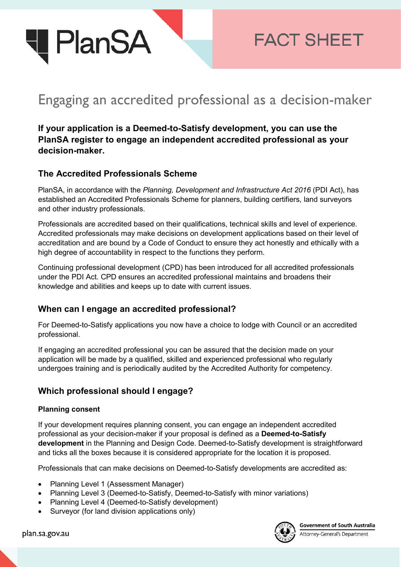

**FACT SHEET** 

# Engaging an accredited professional as a decision-maker

**If your application is a Deemed-to-Satisfy development, you can use the PlanSA register to engage an independent accredited professional as your decision-maker.** 

## **The Accredited Professionals Scheme**

PlanSA, in accordance with the *Planning, Development and Infrastructure Act 2016* (PDI Act), has established an Accredited Professionals Scheme for planners, building certifiers, land surveyors and other industry professionals.

Professionals are accredited based on their qualifications, technical skills and level of experience. Accredited professionals may make decisions on development applications based on their level of accreditation and are bound by a Code of Conduct to ensure they act honestly and ethically with a high degree of accountability in respect to the functions they perform.

Continuing professional development (CPD) has been introduced for all accredited professionals under the PDI Act. CPD ensures an accredited professional maintains and broadens their knowledge and abilities and keeps up to date with current issues.

## **When can I engage an accredited professional?**

For Deemed-to-Satisfy applications you now have a choice to lodge with Council or an accredited professional.

If engaging an accredited professional you can be assured that the decision made on your application will be made by a qualified, skilled and experienced professional who regularly undergoes training and is periodically audited by the Accredited Authority for competency.

## **Which professional should I engage?**

#### **Planning consent**

If your development requires planning consent, you can engage an independent accredited professional as your decision-maker if your proposal is defined as a **Deemed-to-Satisfy development** in the Planning and Design Code. Deemed-to-Satisfy development is straightforward and ticks all the boxes because it is considered appropriate for the location it is proposed.

Professionals that can make decisions on Deemed-to-Satisfy developments are accredited as:

- Planning Level 1 (Assessment Manager)
- Planning Level 3 (Deemed-to-Satisfy, Deemed-to-Satisfy with minor variations)
- Planning Level 4 (Deemed-to-Satisfy development)
- Surveyor (for land division applications only)



Government of South Australia Attorney-General's Department